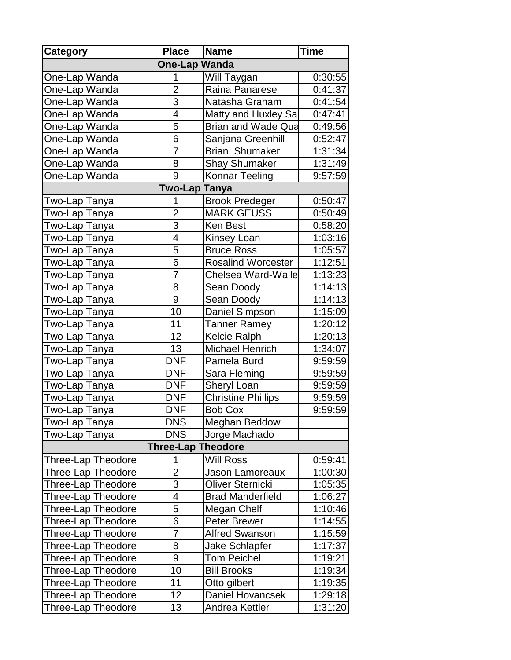| <b>Category</b>           | <b>Place</b>            | <b>Name</b>               | <b>Time</b> |  |  |  |
|---------------------------|-------------------------|---------------------------|-------------|--|--|--|
|                           | <b>One-Lap Wanda</b>    |                           |             |  |  |  |
| One-Lap Wanda             | 1                       | Will Taygan               | 0:30:55     |  |  |  |
| One-Lap Wanda             | $\overline{2}$          | Raina Panarese            | 0:41:37     |  |  |  |
| One-Lap Wanda             | 3                       | Natasha Graham            | 0:41:54     |  |  |  |
| One-Lap Wanda             | 4                       | Matty and Huxley Sal      | 0:47:41     |  |  |  |
| One-Lap Wanda             | 5                       | <b>Brian and Wade Qua</b> | 0:49:56     |  |  |  |
| One-Lap Wanda             | 6                       | Sanjana Greenhill         | 0:52:47     |  |  |  |
| One-Lap Wanda             | 7                       | <b>Brian Shumaker</b>     | 1:31:34     |  |  |  |
| One-Lap Wanda             | 8                       | <b>Shay Shumaker</b>      | 1:31:49     |  |  |  |
| One-Lap Wanda             | 9                       | Konnar Teeling            | 9:57:59     |  |  |  |
| <b>Two-Lap Tanya</b>      |                         |                           |             |  |  |  |
| Two-Lap Tanya             | 1                       | <b>Brook Predeger</b>     | 0:50:47     |  |  |  |
| Two-Lap Tanya             | $\overline{2}$          | <b>MARK GEUSS</b>         | 0:50:49     |  |  |  |
| Two-Lap T <u>anya</u>     | $\overline{3}$          | <b>Ken Best</b>           | 0:58:20     |  |  |  |
| Two-Lap Tanya             | $\overline{\mathbf{4}}$ | <b>Kinsey Loan</b>        | 1:03:16     |  |  |  |
| Two-Lap Tanya             | 5                       | <b>Bruce Ross</b>         | 1:05:57     |  |  |  |
| Two-Lap Tanya             | 6                       | <b>Rosalind Worcester</b> | 1:12:51     |  |  |  |
| Two-Lap Tanya             | $\overline{7}$          | Chelsea Ward-Walle        | 1:13:23     |  |  |  |
| Two-Lap Tanya             | 8                       | Sean Doody                | 1:14:13     |  |  |  |
| Two-Lap Tanya             | 9                       | Sean Doody                | 1:14:13     |  |  |  |
| Two-Lap Tanya             | 10                      | Daniel Simpson            | 1:15:09     |  |  |  |
| Two-Lap Tanya             | 11                      | <b>Tanner Ramey</b>       | 1:20:12     |  |  |  |
| Two-Lap <u>Tanya</u>      | 12                      | <b>Kelcie Ralph</b>       | 1:20:13     |  |  |  |
| Two-Lap Tanya             | 13                      | <b>Michael Henrich</b>    | 1:34:07     |  |  |  |
| Two-Lap Tanya             | <b>DNF</b>              | Pamela Burd               | 9:59:59     |  |  |  |
| Two-Lap Tanya             | <b>DNF</b>              | Sara Fleming              | 9:59:59     |  |  |  |
| Two-Lap Tanya             | <b>DNF</b>              | <b>Sheryl Loan</b>        | 9:59:59     |  |  |  |
| Two-Lap Tanya             | <b>DNF</b>              | <b>Christine Phillips</b> | 9:59:59     |  |  |  |
| Two-Lap Tanya             | <b>DNF</b>              | <b>Bob Cox</b>            | 9:59:59     |  |  |  |
| Two-Lap Tanya             | <b>DNS</b>              | Meghan Beddow             |             |  |  |  |
| Two-Lap Tanya             | <b>DNS</b>              | Jorge Machado             |             |  |  |  |
| <b>Three-Lap Theodore</b> |                         |                           |             |  |  |  |
| Three-Lap Theodore        | 1                       | <b>Will Ross</b>          | 0:59:41     |  |  |  |
| Three-Lap Theodore        | $\overline{2}$          | Jason Lamoreaux           | 1:00:30     |  |  |  |
| Three-Lap Theodore        | 3                       | Oliver Sternicki          | 1:05:35     |  |  |  |
| Three-Lap Theodore        | 4                       | <b>Brad Manderfield</b>   | 1:06:27     |  |  |  |
| <b>Three-Lap Theodore</b> | 5                       | Megan Chelf               | 1:10:46     |  |  |  |
| Three-Lap Theodore        | 6                       | <b>Peter Brewer</b>       | 1:14:55     |  |  |  |
| Three-Lap Theodore        | 7                       | <b>Alfred Swanson</b>     | 1:15:59     |  |  |  |
| <b>Three-Lap Theodore</b> | 8                       | <b>Jake Schlapfer</b>     | 1:17:37     |  |  |  |
| Three-Lap Theodore        | 9                       | <b>Tom Peichel</b>        | 1:19:21     |  |  |  |
| Three-Lap Theodore        | 10                      | <b>Bill Brooks</b>        | 1:19:34     |  |  |  |
| Three-Lap Theodore        | 11                      | Otto gilbert              | 1:19:35     |  |  |  |
| Three-Lap Theodore        | 12 <sub>2</sub>         | <b>Daniel Hovancsek</b>   | 1:29:18     |  |  |  |
| Three-Lap Theodore        | 13                      | Andrea Kettler            | 1:31:20     |  |  |  |